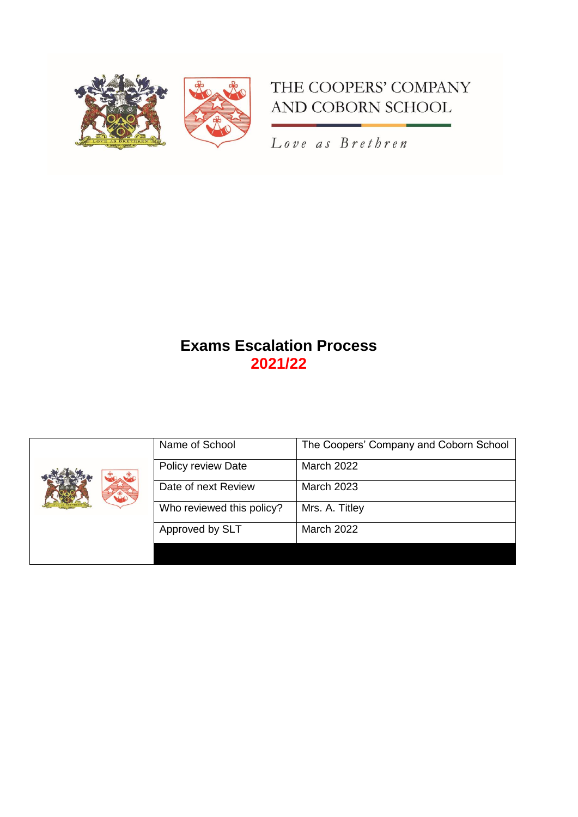

# THE COOPERS' COMPANY AND COBORN SCHOOL

Love as Brethren

# **Exams Escalation Process 2021/22**

|  | Name of School            | The Coopers' Company and Coborn School |
|--|---------------------------|----------------------------------------|
|  | Policy review Date        | <b>March 2022</b>                      |
|  | Date of next Review       | <b>March 2023</b>                      |
|  | Who reviewed this policy? | Mrs. A. Titley                         |
|  | Approved by SLT           | <b>March 2022</b>                      |
|  |                           |                                        |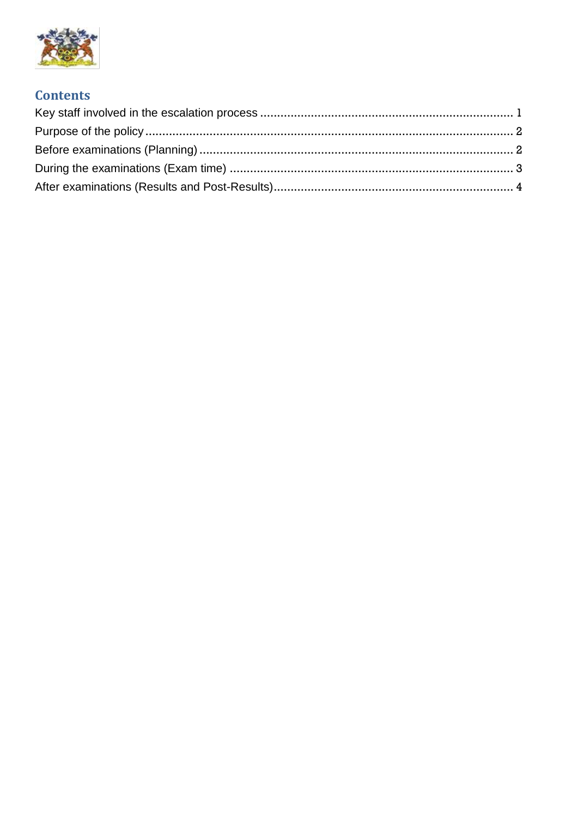

# **Contents**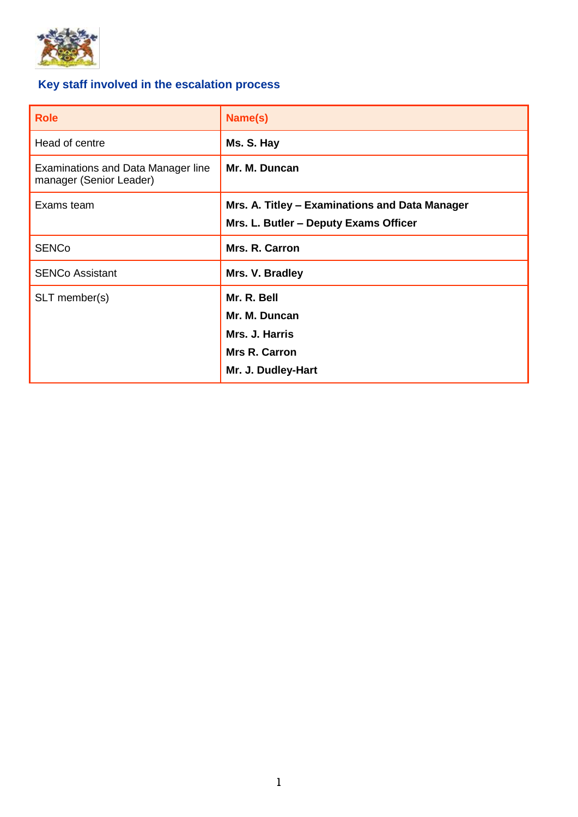

# <span id="page-2-0"></span>**Key staff involved in the escalation process**

| <b>Role</b>                                                          | Name(s)                                        |
|----------------------------------------------------------------------|------------------------------------------------|
| Head of centre                                                       | Ms. S. Hay                                     |
| <b>Examinations and Data Manager line</b><br>manager (Senior Leader) | Mr. M. Duncan                                  |
| Exams team                                                           | Mrs. A. Titley - Examinations and Data Manager |
|                                                                      | Mrs. L. Butler - Deputy Exams Officer          |
| <b>SENCo</b>                                                         | Mrs. R. Carron                                 |
| <b>SENCo Assistant</b>                                               | Mrs. V. Bradley                                |
| SLT member(s)                                                        | Mr. R. Bell                                    |
|                                                                      | Mr. M. Duncan                                  |
|                                                                      | Mrs. J. Harris                                 |
|                                                                      | <b>Mrs R. Carron</b>                           |
|                                                                      | Mr. J. Dudley-Hart                             |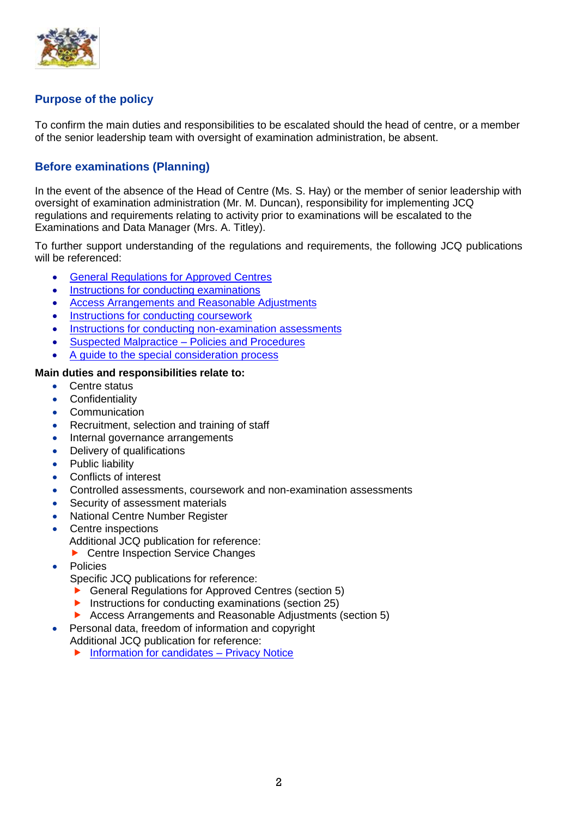

## <span id="page-3-0"></span>**Purpose of the policy**

To confirm the main duties and responsibilities to be escalated should the head of centre, or a member of the senior leadership team with oversight of examination administration, be absent.

### <span id="page-3-1"></span>**Before examinations (Planning)**

In the event of the absence of the Head of Centre (Ms. S. Hay) or the member of senior leadership with oversight of examination administration (Mr. M. Duncan), responsibility for implementing JCQ regulations and requirements relating to activity prior to examinations will be escalated to the Examinations and Data Manager (Mrs. A. Titley).

To further support understanding of the regulations and requirements, the following JCQ publications will be referenced:

- [General Regulations for Approved Centres](https://www.jcq.org.uk/wp-content/uploads/2022/01/Gen_regs_approved_centres_21-22_FINAL.pdf)
- [Instructions for conducting examinations](https://www.jcq.org.uk/wp-content/uploads/2022/01/ICE_21-22_FINAL.pdf)
- [Access Arrangements and Reasonable Adjustments](https://www.jcq.org.uk/wp-content/uploads/2021/11/AA_regs_21-22_FINAL.pdf)
- [Instructions for conducting coursework](https://www.jcq.org.uk/wp-content/uploads/2021/06/Coursework_ICC_21-22_v5.pdf)
- [Instructions for conducting non-examination assessments](https://www.jcq.org.uk/wp-content/uploads/2022/01/Instructions_NEA_21-22_FINAL.pdf)
- [Suspected Malpractice –](https://www.jcq.org.uk/wp-content/uploads/2021/09/Malpractice_21-22_FINAL.pdf) Policies and Procedures
- [A guide to the special consideration process](https://www.jcq.org.uk/wp-content/uploads/2022/04/A-guide-to-the-special-consideration-process-202122-%E2%80%93-General-and-Vocational-qualifications-Updated-8-April-2022_FINAL.pdf)

#### **Main duties and responsibilities relate to:**

- Centre status
- **Confidentiality**
- Communication
- Recruitment, selection and training of staff
- Internal governance arrangements
- Delivery of qualifications
- Public liability
- Conflicts of interest
- Controlled assessments, coursework and non-examination assessments
- Security of assessment materials
- National Centre Number Register
- Centre inspections
	- Additional JCQ publication for reference:
	- ▶ Centre Inspection Service Changes
- **Policies** 
	- Specific JCQ publications for reference:
	- ▶ General Regulations for Approved Centres (section 5)
	- Instructions for conducting examinations (section  $25$ )
	- Access Arrangements and Reasonable Adjustments (section 5)
	- Personal data, freedom of information and copyright
	- Additional JCQ publication for reference:
		- $\blacktriangleright$  [Information for candidates –](https://www.jcq.org.uk/wp-content/uploads/2021/09/Information-for-candidates-Privacy-Notice_21-22.pdf) Privacy Notice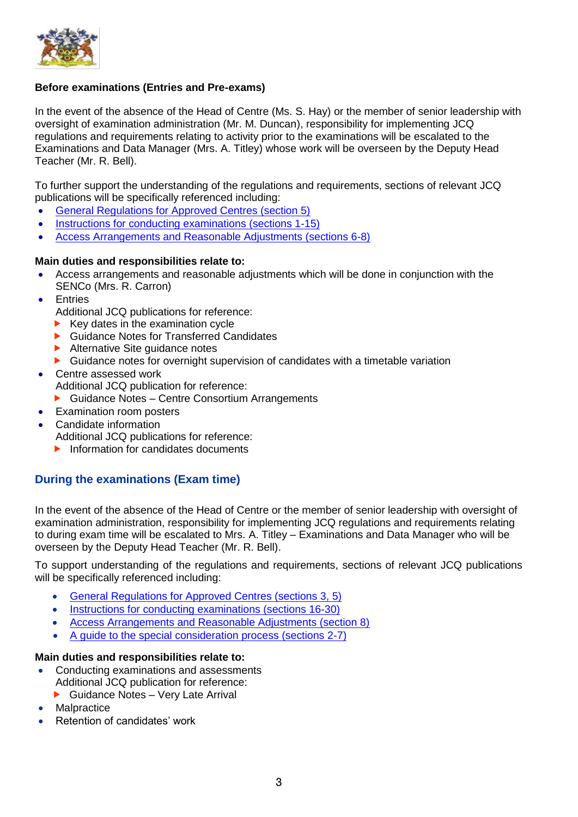

#### **Before examinations (Entries and Pre-exams)**

In the event of the absence of the Head of Centre (Ms. S. Hay) or the member of senior leadership with oversight of examination administration (Mr. M. Duncan), responsibility for implementing JCQ regulations and requirements relating to activity prior to the examinations will be escalated to the Examinations and Data Manager (Mrs. A. Titley) whose work will be overseen by the Deputy Head Teacher (Mr. R. Bell).

To further support the understanding of the regulations and requirements, sections of relevant JCQ publications will be specifically referenced including:

- [General Regulations for Approved Centres \(section 5\)](https://www.jcq.org.uk/wp-content/uploads/2022/01/Gen_regs_approved_centres_21-22_FINAL.pdf)
- [Instructions for conducting examinations \(sections 1-15\)](https://www.jcq.org.uk/wp-content/uploads/2022/01/ICE_21-22_FINAL.pdf)
- [Access Arrangements and Reasonable Adjustments \(sections 6-8\)](https://www.jcq.org.uk/wp-content/uploads/2021/07/AA_regs_21-22.pdf)

#### **Main duties and responsibilities relate to:**

- Access arrangements and reasonable adjustments which will be done in conjunction with the SENCo (Mrs. R. Carron)
- **Entries** 
	- Additional JCQ publications for reference:
	- Key dates in the examination cycle
	- ▶ Guidance Notes for Transferred Candidates
	- Alternative Site quidance notes
	- ▶ Guidance notes for overnight supervision of candidates with a timetable variation
- Centre assessed work
	- Additional JCQ publication for reference:
	- Guidance Notes Centre Consortium Arrangements
- Examination room posters
- Candidate information
	- Additional JCQ publications for reference:
	- $\blacktriangleright$  Information for candidates documents

## <span id="page-4-0"></span>**During the examinations (Exam time)**

In the event of the absence of the Head of Centre or the member of senior leadership with oversight of examination administration, responsibility for implementing JCQ regulations and requirements relating to during exam time will be escalated to Mrs. A. Titley – Examinations and Data Manager who will be overseen by the Deputy Head Teacher (Mr. R. Bell).

To support understanding of the regulations and requirements, sections of relevant JCQ publications will be specifically referenced including:

- [General Regulations for Approved Centres \(sections 3, 5\)](https://www.jcq.org.uk/wp-content/uploads/2022/01/Gen_regs_approved_centres_21-22_FINAL.pdf)
- [Instructions for conducting examinations \(sections 16-30\)](https://www.jcq.org.uk/wp-content/uploads/2022/01/ICE_21-22_FINAL.pdf)
- [Access Arrangements and Reasonable Adjustments \(section 8\)](https://www.jcq.org.uk/wp-content/uploads/2021/07/AA_regs_21-22.pdf)
- [A guide to the special consideration process \(sections 2-7\)](https://www.jcq.org.uk/wp-content/uploads/2021/06/Guide_to_spec_con_process_2122.pdf)

#### **Main duties and responsibilities relate to:**

- Conducting examinations and assessments Additional JCQ publication for reference:
	- ▶ Guidance Notes Very Late Arrival
- **Malpractice**
- Retention of candidates' work